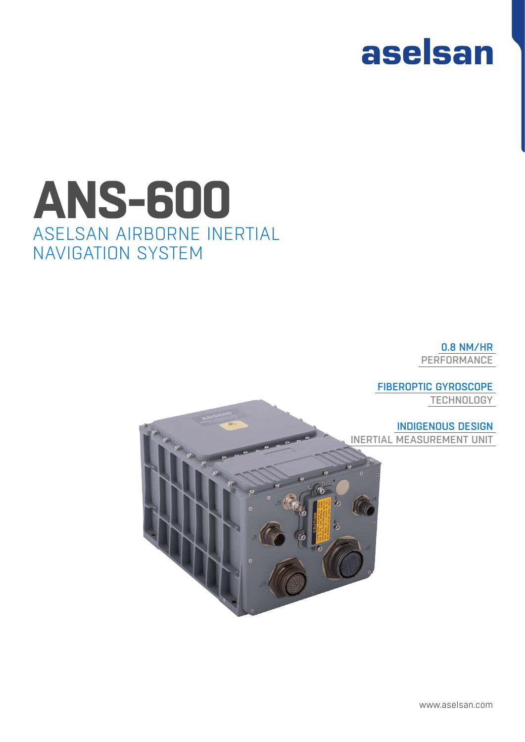## aselsan

## ASELSAN AIRBORNE INERTIAL NAVIGATION SYSTEM **ANS-600**

0.8 NM/HR PERFORMANCE

FIBEROPTIC GYROSCOPE **TECHNOLOGY** 

INDIGENOUS DESIGN INERTIAL MEASUREMENT UNIT